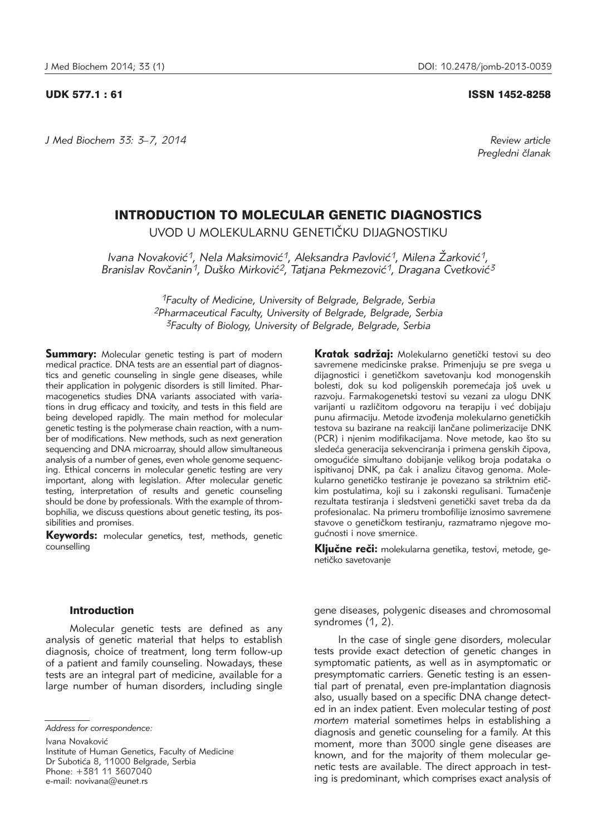*J Med Biochem 33: 3–7, 2014 Review article*

#### UDK 577.1 : 61 ISSN 1452-8258

*Pregledni ~lanak*

# INTRODUCTION TO MOLECULAR GENETIC DIAGNOSTICS

UVOD U MOLEKULARNU GENETIČKU DIJAGNOSTIKU

*Ivana Novaković<sup>1</sup>, Nela Maksimović<sup>1</sup>, Aleksandra Pavlović<sup>1</sup>, Milena Žarković<sup>1</sup>,* Branislav Rovčanin<sup>1</sup>, Duško Mirković<sup>2</sup>, Tatjana Pekmezović<sup>1</sup>, Dragana Cvetković<sup>3</sup>

> *1Faculty of Medicine, University of Belgrade, Belgrade, Serbia 2Pharmaceutical Faculty, University of Belgrade, Belgrade, Serbia 3Faculty of Biology, University of Belgrade, Belgrade, Serbia*

**Summary:** Molecular genetic testing is part of modern medical practice. DNA tests are an essential part of diagnostics and genetic counseling in single gene diseases, while their application in polygenic disorders is still limited. Pharma cogenetics studies DNA variants associated with variations in drug efficacy and toxicity, and tests in this field are being developed rapidly. The main method for molecular genetic testing is the polymerase chain reaction, with a number of modifications. New methods, such as next generation sequencing and DNA microarray, should allow simultaneous analysis of a number of genes, even whole genome sequencing. Ethical concerns in molecular genetic testing are very important, along with legislation. After molecular genetic testing, interpretation of results and genetic counseling should be done by professionals. With the example of thrombophilia, we discuss questions about genetic testing, its possibilities and promises.

Keywords: molecular genetics, test, methods, genetic counselling

Kratak sadržai: Molekularno genetički testovi su deo savremene medicinske prakse. Primenjuju se pre svega u dijagnostici i genetičkom savetovanju kod monogenskih bolesti, dok su kod poligenskih poremećaja još uvek u razvoju. Farmakogenetski testovi su vezani za ulogu DNK varijanti u različitom odgovoru na terapiju i već dobijaju punu afirmaciju. Metode izvođenja molekularno genetičkih testova su bazirane na reakciji lančane polimerizacije DNK (PCR) i njenim modifikacijama. Nove metode, kao što su sledeća generacija sekvenciranja i primena genskih čipova, omogućiće simultano dobijanje velikog broja podataka o ispitivanoj DNK, pa čak i analizu čitavog genoma. Molekularno genetičko testiranje je povezano sa striktnim etičkim postulatima, koji su i zakonski regulisani. Tumačenje rezultata testiranja i sledstveni genetički savet treba da da profesionalac. Na primeru trombofilije iznosimo savremene stavove o genetičkom testiranju, razmatramo njegove mogućnosti i nove smernice.

Ključne reči: molekularna genetika, testovi, metode, genetičko savetovanje

### Introduction

Molecular genetic tests are defined as any analysis of genetic material that helps to establish diagnosis, choice of treatment, long term follow-up of a patient and family counseling. Nowadays, these tests are an integral part of medicine, available for a large number of human disorders, including single

Ivana Novaković

Institute of Human Genetics, Faculty of Medicine Dr Subotića 8, 11000 Belgrade, Serbia Phone: +381 11 3607040 e-mail: novivana@eunet.rs

gene diseases, polygenic diseases and chromosomal syndromes (1, 2).

In the case of single gene disorders, molecular tests provide exact detection of genetic changes in symptomatic patients, as well as in asymptomatic or presymptomatic carriers. Genetic testing is an essential part of prenatal, even pre-implantation diagnosis also, usually based on a specific DNA change detected in an index patient. Even molecular testing of *post mortem* material sometimes helps in establishing a diagnosis and genetic counseling for a family. At this moment, more than 3000 single gene diseases are known, and for the majority of them molecular genetic tests are available. The direct approach in testing is predominant, which comprises exact analysis of

*Address for correspondence:*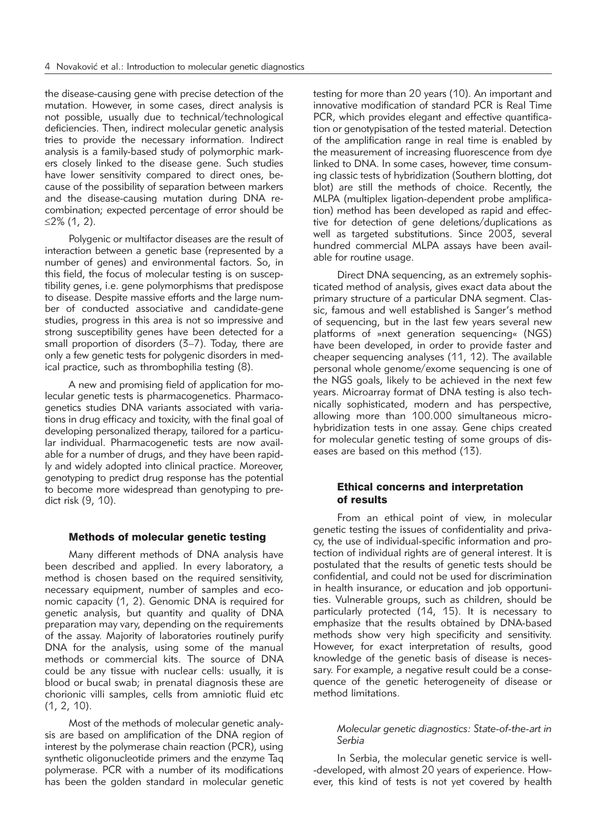the disease-causing gene with precise detection of the mutation. However, in some cases, direct analysis is not possible, usually due to technical/technological deficiencies. Then, indirect molecular genetic analysis tries to provide the necessary information. Indirect analysis is a family-based study of polymorphic markers closely linked to the disease gene. Such studies have lower sensitivity compared to direct ones, because of the possibility of separation between markers and the disease-causing mutation during DNA recombination; expected percentage of error should be ≤2% (1, 2).

Polygenic or multifactor diseases are the result of interaction between a genetic base (represented by a number of genes) and environmental factors. So, in this field, the focus of molecular testing is on susceptibility genes, i.e. gene polymorphisms that predispose to disease. Despite massive efforts and the large number of conducted associative and candidate-gene studies, progress in this area is not so impressive and strong susceptibility genes have been detected for a small proportion of disorders (3–7). Today, there are only a few genetic tests for polygenic disorders in medical practice, such as thrombophilia testing (8).

A new and promising field of application for molecular genetic tests is pharmacogenetics. Pharmacogenetics studies DNA variants associated with variations in drug efficacy and toxicity, with the final goal of developing personalized therapy, tailored for a particular individual. Pharmacogenetic tests are now available for a number of drugs, and they have been rapidly and widely adopted into clinical practice. Moreover, genotyping to predict drug response has the potential to become more widespread than genotyping to predict risk (9, 10).

# Methods of molecular genetic testing

Many different methods of DNA analysis have been described and applied. In every laboratory, a method is chosen based on the required sensitivity, necessary equipment, number of samples and economic capacity (1, 2). Genomic DNA is required for genetic analysis, but quantity and quality of DNA preparation may vary, depending on the requirements of the assay. Majority of laboratories routinely purify DNA for the analysis, using some of the manual methods or commercial kits. The source of DNA could be any tissue with nuclear cells: usually, it is blood or bucal swab; in prenatal diagnosis these are chorionic villi samples, cells from amniotic fluid etc (1, 2, 10).

Most of the methods of molecular genetic analysis are based on amplification of the DNA region of interest by the polymerase chain reaction (PCR), using synthetic oligonucleotide primers and the enzyme Taq polymerase. PCR with a number of its modifications has been the golden standard in molecular genetic testing for more than 20 years (10). An important and innovative modification of standard PCR is Real Time PCR, which provides elegant and effective quantification or genotypisation of the tested material. Detection of the amplification range in real time is enabled by the measurement of increasing fluorescence from dye linked to DNA. In some cases, however, time consuming classic tests of hybridization (Southern blotting, dot blot) are still the methods of choice. Recently, the MLPA (multiplex ligation-dependent probe amplification) method has been developed as rapid and effective for detection of gene deletions/duplications as well as targeted substitutions. Since 2003, several hundred commercial MLPA assays have been available for routine usage.

Direct DNA sequencing, as an extremely sophisticated method of analysis, gives exact data about the primary structure of a particular DNA segment. Classic, famous and well established is Sanger's method of sequencing, but in the last few years several new platforms of »next generation sequencing« (NGS) have been developed, in order to provide faster and cheaper sequencing analyses (11, 12). The available personal whole genome/exome sequencing is one of the NGS goals, likely to be achieved in the next few years. Microarray format of DNA testing is also technically sophisticated, modern and has perspective, allowing more than 100.000 simultaneous microhybridization tests in one assay. Gene chips created for molecular genetic testing of some groups of diseases are based on this method (13).

# Ethical concerns and interpretation of results

From an ethical point of view, in molecular genetic testing the issues of confidentiality and privacy, the use of individual-specific information and protection of individual rights are of general interest. It is postulated that the results of genetic tests should be confidential, and could not be used for discrimination in health insurance, or education and job opportunities. Vulnerable groups, such as children, should be particularly protected (14, 15). It is necessary to emphasize that the results obtained by DNA-based methods show very high specificity and sensitivity. However, for exact interpretation of results, good knowledge of the genetic basis of disease is necessary. For example, a negative result could be a consequence of the genetic heterogeneity of disease or method limitations.

#### *Molecular genetic diagnostics: State-of-the-art in Serbia*

In Serbia, the molecular genetic service is well- -developed, with almost 20 years of experience. However, this kind of tests is not yet covered by health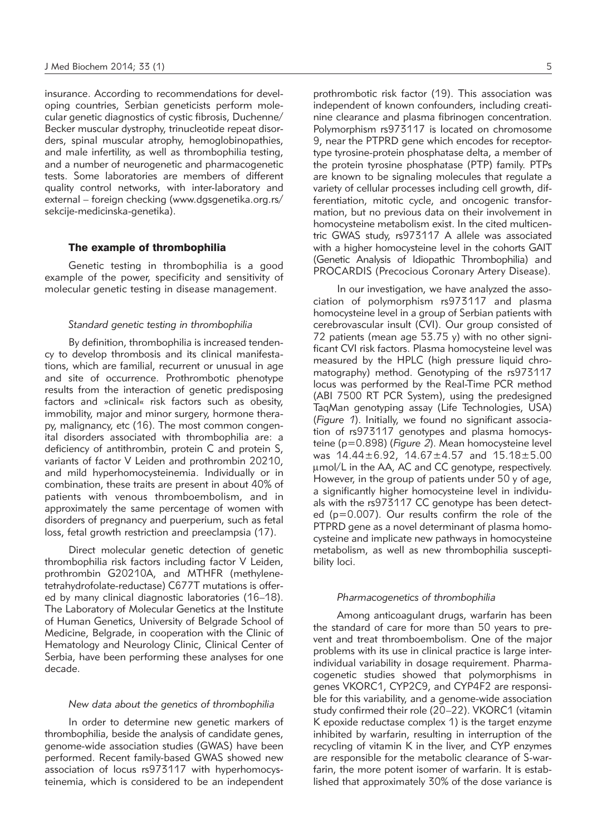insurance. According to recommendations for developing countries, Serbian geneticists perform molecular genetic diagnostics of cystic fibrosis, Duchenne/ Becker muscular dystrophy, trinucleotide repeat disorders, spinal muscular atrophy, hemoglobinopathies, and male infertility, as well as thrombophilia testing, and a number of neurogenetic and pharmacogenetic tests. Some laboratories are members of different quality control networks, with inter-laboratory and external – foreign checking (www.dgsgenetika.org.rs/ sekcije-medicinska-genetika).

#### The example of thrombophilia

Genetic testing in thrombophilia is a good example of the power, specificity and sensitivity of molecular genetic testing in disease management.

#### *Standard genetic testing in thrombophilia*

By definition, thrombophilia is increased tendency to develop thrombosis and its clinical manifestations, which are familial, recurrent or unusual in age and site of occurrence. Prothrombotic phenotype results from the interaction of genetic predisposing factors and »clinical« risk factors such as obesity, immobility, major and minor surgery, hormone therapy, malignancy, etc (16). The most common congenital disorders associated with thrombophilia are: a deficiency of antithrombin, protein C and protein S, variants of factor V Leiden and prothrombin 20210, and mild hyperhomocysteinemia. Individually or in combination, these traits are present in about 40% of patients with venous thromboembolism, and in approximately the same percentage of women with disorders of pregnancy and puerperium, such as fetal loss, fetal growth restriction and preeclampsia (17).

Direct molecular genetic detection of genetic thrombophilia risk factors including factor V Leiden, prothrombin G20210A, and MTHFR (methylenetetrahydrofolate-reductase) C677T mutations is offered by many clinical diagnostic laboratories (16–18). The Laboratory of Molecular Genetics at the Institute of Human Genetics, University of Belgrade School of Medicine, Belgrade, in cooperation with the Clinic of Hematology and Neurology Clinic, Clinical Center of Serbia, have been performing these analyses for one decade.

#### *New data about the genetics of thrombophilia*

In order to determine new genetic markers of thrombophilia, beside the analysis of candidate genes, genome-wide association studies (GWAS) have been performed. Recent family-based GWAS showed new association of locus rs973117 with hyperhomocysteinemia, which is considered to be an independent prothrombotic risk factor (19). This association was independent of known confounders, including creatinine clearance and plasma fibrinogen concentration. Polymorphism rs973117 is located on chromosome 9, near the PTPRD gene which encodes for receptortype tyrosine-protein phosphatase delta, a member of the protein tyrosine phosphatase (PTP) family. PTPs are known to be signaling molecules that regulate a variety of cellular processes including cell growth, differentiation, mitotic cycle, and oncogenic transformation, but no previous data on their involvement in homocysteine metabolism exist. In the cited multicentric GWAS study, rs973117 A allele was associated with a higher homocysteine level in the cohorts GAIT (Genetic Analysis of Idiopathic Thrombophilia) and PROCARDIS (Precocious Coronary Artery Disease).

In our investigation, we have analyzed the association of polymorphism rs973117 and plasma homocysteine level in a group of Serbian patients with cerebrovascular insult (CVI). Our group consisted of 72 patients (mean age  $53.75$  y) with no other significant CVI risk factors. Plasma homocysteine level was measured by the HPLC (high pressure liquid chromatography) method. Genotyping of the rs973117 locus was performed by the Real-Time PCR method (ABI 7500 RT PCR System), using the predesigned TaqMan genotyping assay (Life Technologies, USA) (*Figure 1*). Initially, we found no significant association of rs973117 genotypes and plasma homocysteine (p=0.898) (*Figure 2*). Mean homocysteine level was 14.44±6.92, 14.67±4.57 and 15.18±5.00 mmol/L in the AA, AC and CC genotype, respectively. However, in the group of patients under 50 y of age, a significantly higher homocysteine level in individuals with the rs973117 CC genotype has been detected (p=0.007). Our results confirm the role of the PTPRD gene as a novel determinant of plasma homocysteine and implicate new pathways in homocysteine metabolism, as well as new thrombophilia susceptibility loci.

#### *Pharmacogenetics of thrombophilia*

Among anticoagulant drugs, warfarin has been the standard of care for more than 50 years to prevent and treat thromboembolism. One of the major problems with its use in clinical practice is large interindividual variability in dosage requirement. Pharmaco genetic studies showed that polymorphisms in genes VKORC1, CYP2C9, and CYP4F2 are responsible for this variability, and a genome-wide association study confirmed their role (20–22). VKORC1 (vitamin K epoxide reductase complex 1) is the target enzyme inhibited by warfarin, resulting in interruption of the recycling of vitamin K in the liver, and CYP enzymes are responsible for the metabolic clearance of S-warfarin, the more potent isomer of warfarin. It is established that approximately 30% of the dose variance is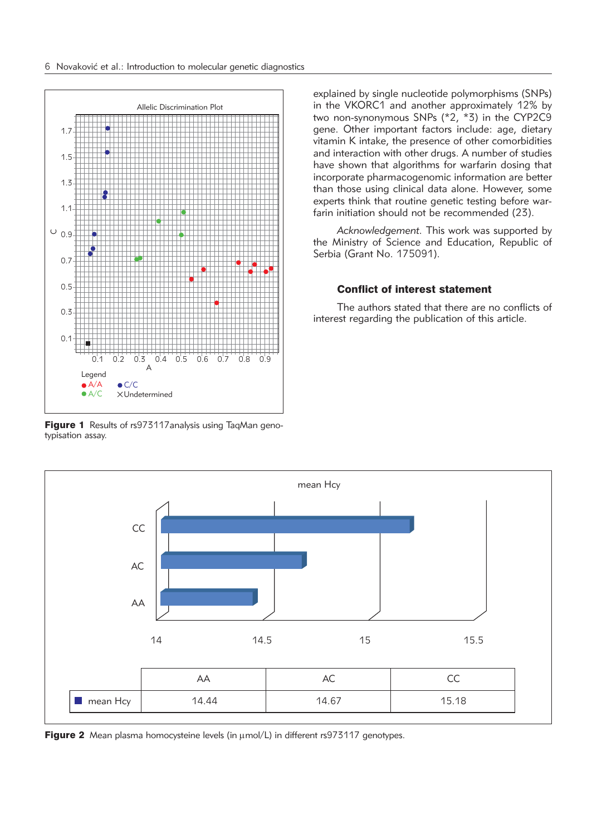

Figure 1 Results of rs973117 analysis using TaqMan genotypisation assay.

explained by single nucleotide polymorphisms (SNPs) in the VKORC1 and another approximately 12% by two non-synonymous SNPs (\*2, \*3) in the CYP2C9 gene. Other important factors include: age, dietary vitamin K intake, the presence of other comorbidities and interaction with other drugs. A number of studies have shown that algorithms for warfarin dosing that incorporate pharmacogenomic information are better than those using clinical data alone. However, some experts think that routine genetic testing before warfarin initiation should not be recommended (23).

*Acknowledgement.* This work was supported by the Ministry of Science and Education, Republic of Serbia (Grant No. 175091).

# Conflict of interest statement

The authors stated that there are no conflicts of interest regarding the publication of this article.



Figure 2 Mean plasma homocysteine levels (in  $\mu$ mol/L) in different rs973117 genotypes.